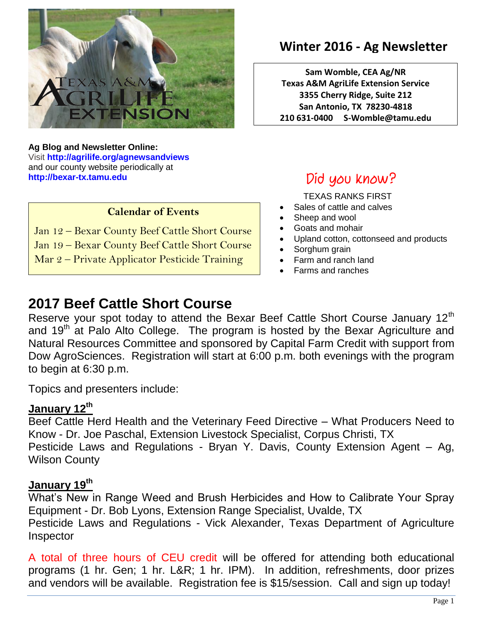

**Ag Blog and Newsletter Online:** Visit **<http://agrilife.org/agnewsandviews>** and our county website periodically at **[http://bexar-tx.tamu.edu](http://bexar-tx.tamu.edu/)**

#### **Calendar of Events**

Jan 12 – Bexar County Beef Cattle Short Course

Jan 19 – Bexar County Beef Cattle Short Course

Mar 2 – Private Applicator Pesticide Training

# **Winter 2016 - Ag Newsletter**

**Sam Womble, CEA Ag/NR Texas A&M AgriLife Extension Service 3355 Cherry Ridge, Suite 212 San Antonio, TX 78230-4818 210 631-0400 S-Womble@tamu.edu**

# Did you know?

TEXAS RANKS FIRST

- Sales of cattle and calves
- Sheep and wool
- Goats and mohair
- Upland cotton, cottonseed and products
- Sorghum grain
- Farm and ranch land
- Farms and ranches

# **2017 Beef Cattle Short Course**

Reserve your spot today to attend the Bexar Beef Cattle Short Course January 12<sup>th</sup> and  $19<sup>th</sup>$  at Palo Alto College. The program is hosted by the Bexar Agriculture and Natural Resources Committee and sponsored by Capital Farm Credit with support from Dow AgroSciences. Registration will start at 6:00 p.m. both evenings with the program to begin at 6:30 p.m.

Topics and presenters include:

## **January 12th**

Beef Cattle Herd Health and the Veterinary Feed Directive – What Producers Need to Know - Dr. Joe Paschal, Extension Livestock Specialist, Corpus Christi, TX Pesticide Laws and Regulations - Bryan Y. Davis, County Extension Agent – Ag, Wilson County

### **January 19th**

What's New in Range Weed and Brush Herbicides and How to Calibrate Your Spray Equipment - Dr. Bob Lyons, Extension Range Specialist, Uvalde, TX Pesticide Laws and Regulations - Vick Alexander, Texas Department of Agriculture Inspector

A total of three hours of CEU credit will be offered for attending both educational programs (1 hr. Gen; 1 hr. L&R; 1 hr. IPM). In addition, refreshments, door prizes and vendors will be available. Registration fee is \$15/session. Call and sign up today!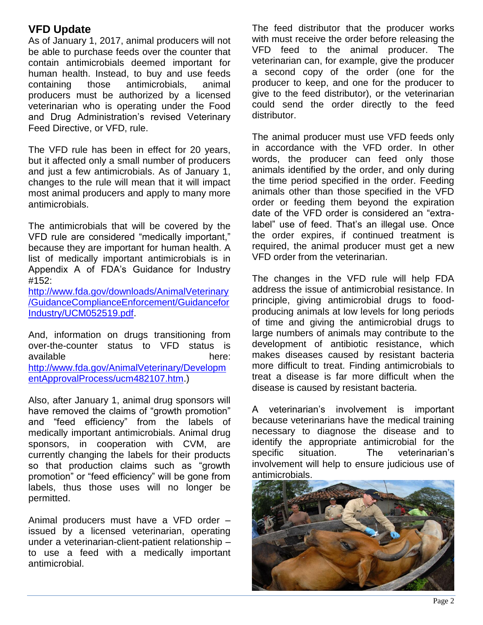## **VFD Update**

As of January 1, 2017, animal producers will not be able to purchase feeds over the counter that contain antimicrobials deemed important for human health. Instead, to buy and use feeds containing those antimicrobials, animal producers must be authorized by a licensed veterinarian who is operating under the Food and Drug Administration's revised Veterinary Feed Directive, or VFD, rule.

The VFD rule has been in effect for 20 years, but it affected only a small number of producers and just a few antimicrobials. As of January 1, changes to the rule will mean that it will impact most animal producers and apply to many more antimicrobials.

The antimicrobials that will be covered by the VFD rule are considered "medically important," because they are important for human health. A list of medically important antimicrobials is in Appendix A of FDA's Guidance for Industry #152:

[http://www.fda.gov/downloads/AnimalVeterinary](https://urldefense.proofpoint.com/v2/url?u=http-3A__www.fda.gov_downloads_AnimalVeterinary_GuidanceComplianceEnforcement_GuidanceforIndustry_UCM052519.pdf&d=CwMFAg&c=ODFT-G5SujMiGrKuoJJjVg&r=dgXvsT7XzC9mm8YsZFudTa3rSqGUp-jwBHybJ_oYqZA&m=ukXKDlEpSAT25hJQrspbBvnWHpXz82hz3GZWK_WaXMo&s=puj6LRSWajteJjbQCvHxHmWPLadNRseGnvBCpkuvZEo&e=) [/GuidanceComplianceEnforcement/Guidancefor](https://urldefense.proofpoint.com/v2/url?u=http-3A__www.fda.gov_downloads_AnimalVeterinary_GuidanceComplianceEnforcement_GuidanceforIndustry_UCM052519.pdf&d=CwMFAg&c=ODFT-G5SujMiGrKuoJJjVg&r=dgXvsT7XzC9mm8YsZFudTa3rSqGUp-jwBHybJ_oYqZA&m=ukXKDlEpSAT25hJQrspbBvnWHpXz82hz3GZWK_WaXMo&s=puj6LRSWajteJjbQCvHxHmWPLadNRseGnvBCpkuvZEo&e=) [Industry/UCM052519.pdf.](https://urldefense.proofpoint.com/v2/url?u=http-3A__www.fda.gov_downloads_AnimalVeterinary_GuidanceComplianceEnforcement_GuidanceforIndustry_UCM052519.pdf&d=CwMFAg&c=ODFT-G5SujMiGrKuoJJjVg&r=dgXvsT7XzC9mm8YsZFudTa3rSqGUp-jwBHybJ_oYqZA&m=ukXKDlEpSAT25hJQrspbBvnWHpXz82hz3GZWK_WaXMo&s=puj6LRSWajteJjbQCvHxHmWPLadNRseGnvBCpkuvZEo&e=)

And, information on drugs transitioning from over-the-counter status to VFD status is available here: [http://www.fda.gov/AnimalVeterinary/Developm](https://urldefense.proofpoint.com/v2/url?u=http-3A__www.fda.gov_AnimalVeterinary_DevelopmentApprovalProcess_ucm482107.htm&d=CwMFAg&c=ODFT-G5SujMiGrKuoJJjVg&r=dgXvsT7XzC9mm8YsZFudTa3rSqGUp-jwBHybJ_oYqZA&m=ukXKDlEpSAT25hJQrspbBvnWHpXz82hz3GZWK_WaXMo&s=IfG09930mFhpqU9MQcEQYMXjIoKMD9l3HwounNkFvhU&e=) [entApprovalProcess/ucm482107.htm.](https://urldefense.proofpoint.com/v2/url?u=http-3A__www.fda.gov_AnimalVeterinary_DevelopmentApprovalProcess_ucm482107.htm&d=CwMFAg&c=ODFT-G5SujMiGrKuoJJjVg&r=dgXvsT7XzC9mm8YsZFudTa3rSqGUp-jwBHybJ_oYqZA&m=ukXKDlEpSAT25hJQrspbBvnWHpXz82hz3GZWK_WaXMo&s=IfG09930mFhpqU9MQcEQYMXjIoKMD9l3HwounNkFvhU&e=))

Also, after January 1, animal drug sponsors will have removed the claims of "growth promotion" and "feed efficiency" from the labels of medically important antimicrobials. Animal drug sponsors, in cooperation with CVM, are currently changing the labels for their products so that production claims such as "growth promotion" or "feed efficiency" will be gone from labels, thus those uses will no longer be permitted.

Animal producers must have a VFD order – issued by a licensed veterinarian, operating under a veterinarian-client-patient relationship – to use a feed with a medically important antimicrobial.

The feed distributor that the producer works with must receive the order before releasing the VFD feed to the animal producer. The veterinarian can, for example, give the producer a second copy of the order (one for the producer to keep, and one for the producer to give to the feed distributor), or the veterinarian could send the order directly to the feed distributor.

The animal producer must use VFD feeds only in accordance with the VFD order. In other words, the producer can feed only those animals identified by the order, and only during the time period specified in the order. Feeding animals other than those specified in the VFD order or feeding them beyond the expiration date of the VFD order is considered an "extralabel" use of feed. That's an illegal use. Once the order expires, if continued treatment is required, the animal producer must get a new VFD order from the veterinarian.

The changes in the VFD rule will help FDA address the issue of antimicrobial resistance. In principle, giving antimicrobial drugs to foodproducing animals at low levels for long periods of time and giving the antimicrobial drugs to large numbers of animals may contribute to the development of antibiotic resistance, which makes diseases caused by resistant bacteria more difficult to treat. Finding antimicrobials to treat a disease is far more difficult when the disease is caused by resistant bacteria.

A veterinarian's involvement is important because veterinarians have the medical training necessary to diagnose the disease and to identify the appropriate antimicrobial for the specific situation. The veterinarian's involvement will help to ensure judicious use of antimicrobials.

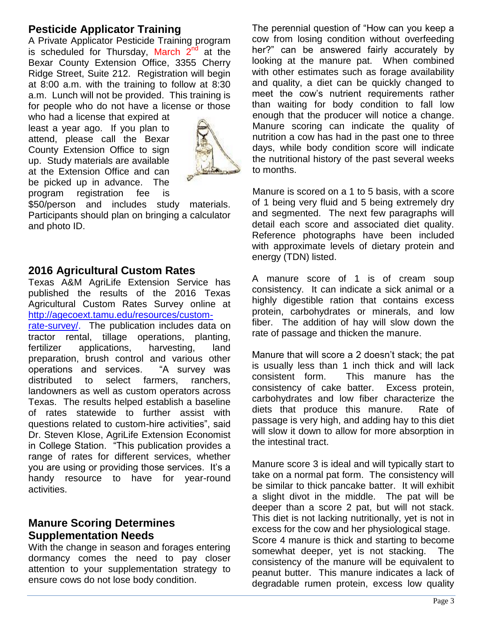### **Pesticide Applicator Training**

A Private Applicator Pesticide Training program is scheduled for Thursday, March  $2^{nd}$  at the Bexar County Extension Office, 3355 Cherry Ridge Street, Suite 212. Registration will begin at 8:00 a.m. with the training to follow at 8:30 a.m. Lunch will not be provided. This training is for people who do not have a license or those

who had a license that expired at least a year ago. If you plan to attend, please call the Bexar County Extension Office to sign up. Study materials are available at the Extension Office and can be picked up in advance. The program registration fee is



\$50/person and includes study materials. Participants should plan on bringing a calculator and photo ID.

#### **2016 Agricultural Custom Rates**

Texas A&M AgriLife Extension Service has published the results of the 2016 Texas Agricultural Custom Rates Survey online at [http://agecoext.tamu.edu/resources/custom](http://agecoext.tamu.edu/resources/custom-rate-survey/)[rate-survey/.](http://agecoext.tamu.edu/resources/custom-rate-survey/) The publication includes data on tractor rental, tillage operations, planting,

fertilizer applications, harvesting, land preparation, brush control and various other operations and services. "A survey was distributed to select farmers, ranchers, landowners as well as custom operators across Texas. The results helped establish a baseline of rates statewide to further assist with questions related to custom-hire activities", said Dr. Steven Klose, AgriLife Extension Economist in College Station. "This publication provides a range of rates for different services, whether you are using or providing those services. It's a handy resource to have for year-round activities.

#### **Manure Scoring Determines Supplementation Needs**

With the change in season and forages entering dormancy comes the need to pay closer attention to your supplementation strategy to ensure cows do not lose body condition.

The perennial question of "How can you keep a cow from losing condition without overfeeding her?" can be answered fairly accurately by looking at the manure pat. When combined with other estimates such as forage availability and quality, a diet can be quickly changed to meet the cow's nutrient requirements rather than waiting for body condition to fall low enough that the producer will notice a change. Manure scoring can indicate the quality of nutrition a cow has had in the past one to three days, while body condition score will indicate the nutritional history of the past several weeks to months.

Manure is scored on a 1 to 5 basis, with a score of 1 being very fluid and 5 being extremely dry and segmented. The next few paragraphs will detail each score and associated diet quality. Reference photographs have been included with approximate levels of dietary protein and energy (TDN) listed.

A manure score of 1 is of cream soup consistency. It can indicate a sick animal or a highly digestible ration that contains excess protein, carbohydrates or minerals, and low fiber. The addition of hay will slow down the rate of passage and thicken the manure.

Manure that will score a 2 doesn't stack; the pat is usually less than 1 inch thick and will lack consistent form. This manure has the consistency of cake batter. Excess protein, carbohydrates and low fiber characterize the diets that produce this manure. Rate of passage is very high, and adding hay to this diet will slow it down to allow for more absorption in the intestinal tract.

Manure score 3 is ideal and will typically start to take on a normal pat form. The consistency will be similar to thick pancake batter. It will exhibit a slight divot in the middle. The pat will be deeper than a score 2 pat, but will not stack. This diet is not lacking nutritionally, yet is not in excess for the cow and her physiological stage. Score 4 manure is thick and starting to become somewhat deeper, yet is not stacking. The consistency of the manure will be equivalent to peanut butter. This manure indicates a lack of degradable rumen protein, excess low quality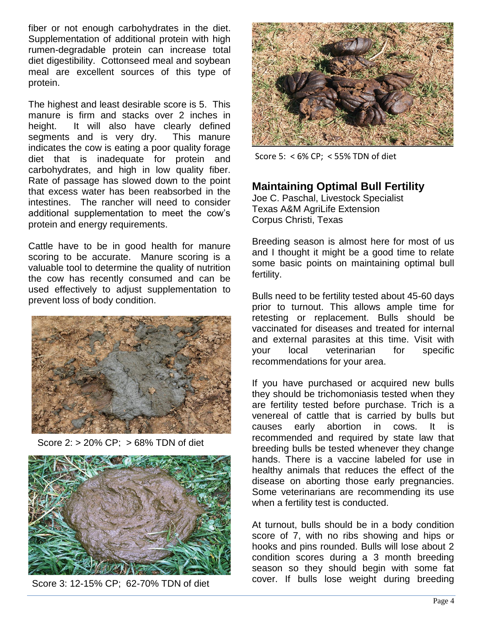fiber or not enough carbohydrates in the diet. Supplementation of additional protein with high rumen-degradable protein can increase total diet digestibility. Cottonseed meal and soybean meal are excellent sources of this type of protein.

The highest and least desirable score is 5. This manure is firm and stacks over 2 inches in height. It will also have clearly defined segments and is very dry. This manure indicates the cow is eating a poor quality forage diet that is inadequate for protein and carbohydrates, and high in low quality fiber. Rate of passage has slowed down to the point that excess water has been reabsorbed in the intestines. The rancher will need to consider additional supplementation to meet the cow's protein and energy requirements.

Cattle have to be in good health for manure scoring to be accurate. Manure scoring is a valuable tool to determine the quality of nutrition the cow has recently consumed and can be used effectively to adjust supplementation to prevent loss of body condition.



Score 2: > 20% CP; > 68% TDN of diet



Score 3: 12-15% CP; 62-70% TDN of diet



Score 5: < 6% CP; < 55% TDN of diet

## **Maintaining Optimal Bull Fertility**

Joe C. Paschal, Livestock Specialist Texas A&M AgriLife Extension Corpus Christi, Texas

Breeding season is almost here for most of us and I thought it might be a good time to relate some basic points on maintaining optimal bull fertility.

Bulls need to be fertility tested about 45-60 days prior to turnout. This allows ample time for retesting or replacement. Bulls should be vaccinated for diseases and treated for internal and external parasites at this time. Visit with your local veterinarian for specific recommendations for your area.

If you have purchased or acquired new bulls they should be trichomoniasis tested when they are fertility tested before purchase. Trich is a venereal of cattle that is carried by bulls but causes early abortion in cows. It is recommended and required by state law that breeding bulls be tested whenever they change hands. There is a vaccine labeled for use in healthy animals that reduces the effect of the disease on aborting those early pregnancies. Some veterinarians are recommending its use when a fertility test is conducted.

At turnout, bulls should be in a body condition score of 7, with no ribs showing and hips or hooks and pins rounded. Bulls will lose about 2 condition scores during a 3 month breeding season so they should begin with some fat cover. If bulls lose weight during breeding